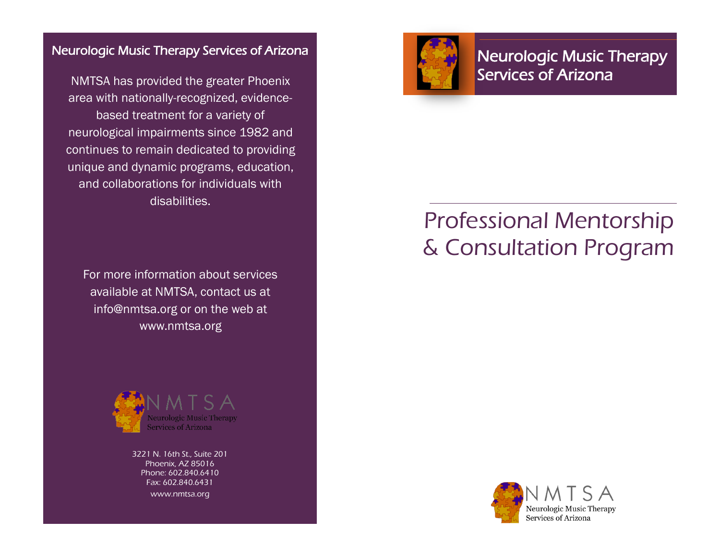# Neurologic Music Therapy Services of Arizona

NMTSA has provided the greater Phoenix area with nationally-recognized, evidencebased treatment for a variety of neurological impairments since 1982 and continues to remain dedicated to providing unique and dynamic programs, education, and collaborations for individuals with disabilities.

For more information about services available at NMTSA, contact us at info@nmtsa.org or on the web at www.nmtsa.org



3221 N. 16th St., Suite 201 Phoenix, AZ 85016 Phone: 602.840.6410 Fax: 602.840.6431 www.nmtsa.org



Neurologic Music Therapy Services of Arizona

# Professional Mentorship & Consultation Program

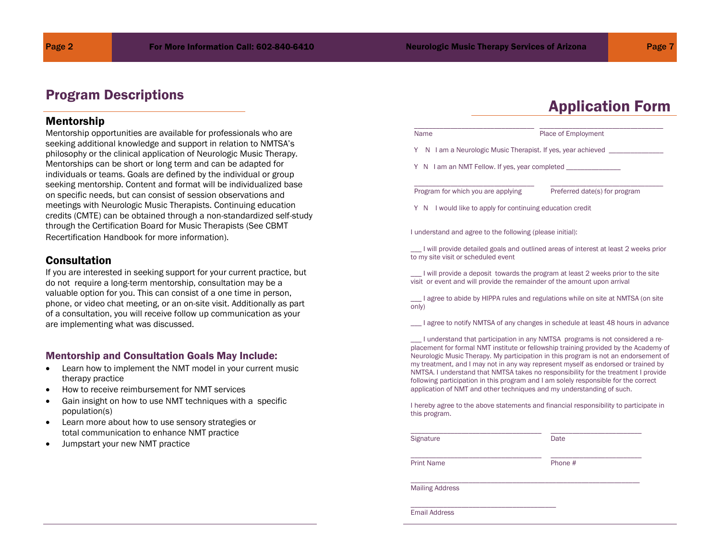# Program Descriptions

#### Mentorship

Mentorship opportunities are available for professionals who are seeking additional knowledge and support in relation to NMTSA's philosophy or the clinical application of Neurologic Music Therapy. Mentorships can be short or long term and can be adapted for individuals or teams. Goals are defined by the individual or group seeking mentorship. Content and format will be individualized base on specific needs, but can consist of session observations and meetings with Neurologic Music Therapists. Continuing education credits (CMTE) can be obtained through a non-standardized self-study through the Certification Board for Music Therapists (See CBMT Recertification Handbook for more information).

#### **Consultation**

If you are interested in seeking support for your current practice, but do not require a long-term mentorship, consultation may be a valuable option for you. This can consist of a one time in person, phone, or video chat meeting, or an on-site visit. Additionally as part of a consultation, you will receive follow up communication as your are implementing what was discussed.

#### Mentorship and Consultation Goals May Include:

- Learn how to implement the NMT model in your current music therapy practice
- How to receive reimbursement for NMT services
- Gain insight on how to use NMT techniques with a specific population(s)
- Learn more about how to use sensory strategies or total communication to enhance NMT practice
- Jumpstart your new NMT practice

# Application Form

Name **Name** Place of Employment

Y N I am a Neurologic Music Therapist. If yes, year achieved

\_\_\_\_\_\_\_\_\_\_\_\_\_\_\_\_\_\_\_\_\_\_\_\_\_\_\_\_\_\_\_\_\_ \_\_\_\_\_\_\_\_\_\_\_\_\_\_\_\_\_\_\_\_\_\_\_\_\_\_\_\_\_\_\_\_\_\_

\_\_\_\_\_\_\_\_\_\_\_\_\_\_\_\_\_\_\_\_\_\_\_\_\_\_\_\_\_\_\_\_\_ \_\_\_\_\_\_\_\_\_\_\_\_\_\_\_\_\_\_\_\_\_\_\_\_\_\_\_\_\_\_\_

Y N I am an NMT Fellow. If yes, year completed

Program for which you are applying Preferred date(s) for program

Y N I would like to apply for continuing education credit

I understand and agree to the following (please initial):

\_\_\_ I will provide detailed goals and outlined areas of interest at least 2 weeks prior to my site visit or scheduled event

\_\_\_ I will provide a deposit towards the program at least 2 weeks prior to the site visit or event and will provide the remainder of the amount upon arrival

\_\_\_ I agree to abide by HIPPA rules and regulations while on site at NMTSA (on site only)

\_\_\_ I agree to notify NMTSA of any changes in schedule at least 48 hours in advance

\_\_\_ I understand that participation in any NMTSA programs is not considered a replacement for formal NMT institute or fellowship training provided by the Academy of Neurologic Music Therapy. My participation in this program is not an endorsement of my treatment, and I may not in any way represent myself as endorsed or trained by NMTSA. I understand that NMTSA takes no responsibility for the treatment I provide following participation in this program and I am solely responsible for the correct application of NMT and other techniques and my understanding of such.

I hereby agree to the above statements and financial responsibility to participate in this program.

| Signature              | Date    |  |
|------------------------|---------|--|
| <b>Print Name</b>      | Phone # |  |
| <b>Mailing Address</b> |         |  |
| <b>Email Address</b>   |         |  |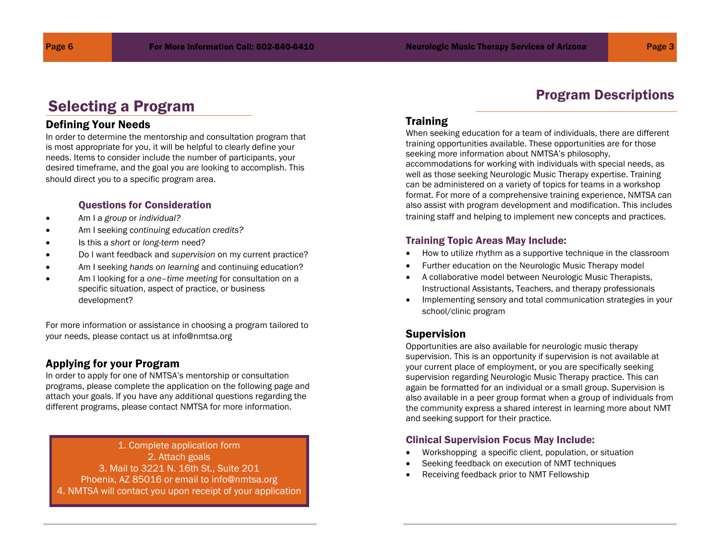Program Descriptions

# Selecting a Program

# Defining Your Needs

In order to determine the mentorship and consultation program that is most appropriate for you, it will be helpful to clearly define your needs. Items to consider include the number of participants, your desired timeframe, and the goal you are looking to accomplish. This should direct you to a specific program area.

### Questions for Consideration

- Am I a *group* or *individual?*
- Am I seeking *continuing education credits?*
- Is this a *short* or *long-term* need?
- Do I want feedback and *supervision* on my current practice?
- Am I seeking *hands on learning* and continuing education?
- Am I looking for a *one–time meeting* for consultation on a specific situation, aspect of practice, or business development?

For more information or assistance in choosing a program tailored to your needs, please contact us at info@nmtsa.org

## Applying for your Program

In order to apply for one of NMTSA's mentorship or consultation programs, please complete the application on the following page and attach your goals. If you have any additional questions regarding the different programs, please contact NMTSA for more information.

1. Complete application form 2. Attach goals 3. Mail to 3221 N. 16th St., Suite 201 Phoenix, AZ 85016 or email to info@nmtsa.org 4. NMTSA will contact you upon receipt of your application

# **Training**

When seeking education for a team of individuals, there are different training opportunities available. These opportunities are for those seeking more information about NMTSA's philosophy, accommodations for working with individuals with special needs, as well as those seeking Neurologic Music Therapy expertise. Training can be administered on a variety of topics for teams in a workshop format. For more of a comprehensive training experience, NMTSA can also assist with program development and modification. This includes training staff and helping to implement new concepts and practices.

#### Training Topic Areas May Include:

- How to utilize rhythm as a supportive technique in the classroom
- Further education on the Neurologic Music Therapy model
- A collaborative model between Neurologic Music Therapists, Instructional Assistants, Teachers, and therapy professionals
- Implementing sensory and total communication strategies in your school/clinic program

## Supervision

Opportunities are also available for neurologic music therapy supervision. This is an opportunity if supervision is not available at your current place of employment, or you are specifically seeking supervision regarding Neurologic Music Therapy practice. This can again be formatted for an individual or a small group. Supervision is also available in a peer group format when a group of individuals from the community express a shared interest in learning more about NMT and seeking support for their practice.

#### Clinical Supervision Focus May Include:

- Workshopping a specific client, population, or situation
- Seeking feedback on execution of NMT techniques
- Receiving feedback prior to NMT Fellowship